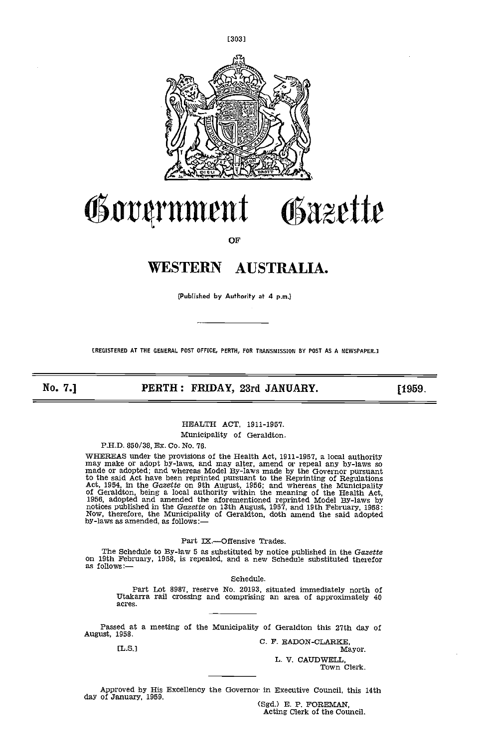

# Government Gazette

OF

## WESTERN AUSTRALIA.

(Published by Authority at 4 p.m.)

EREGISTERED AT THE GENERAL POST OFFICE, PERTH, FOR TRANSMISSION BY POST AS A NEWSPAPER.]

No. 7.] **PERTH: FRIDAY, 23rd JANUARY.** [1959.]

### HEALTH ACT, 1911-1957.

Municipality of Geraldton.

P.H.D. 850/38, Ex. Co. No. 76.

WHEREAS under the provisions of the Health Act, 1911-1957, a local authority<br>may make or adopt by-laws, and may alter, amend or repeal any by-laws so<br>made or adopted; and whereas Model By-laws made by the Governor pursuan notices published in the G*azette* on 13th August, 1957, and 19th February, 1958:<br>Now, therefore, the Municipality of Geraldton, doth amend the said adopted by-laws as amended, as follows:

#### Part IX.-Offensive Trades.

The Schedule to By-law 5 as substituted by notice published in the Gazette on 19th February, 1958, is repealed, and a new Schedule substituted therefor as follows:—

Schedule.

Part Lot 8987, reserve No. 20193, situated immediately north of Utakarra rail crossing and comprising an area of approximately 40 acres.

Passed at a meeting of the Municipality of Geraldton this 27th day of<br>August, 1958. C. F. EADON-CLARKE,<br>Mayor. Mayor.

Mayor.

L. V. CAUDWELL, Town Clerk.

Approved by His Excellency the Governor in Executive Council, this 14th day of January, 1959.<br>(Sgd.) E. P. FOREMAN, Acting Clerk of the Council.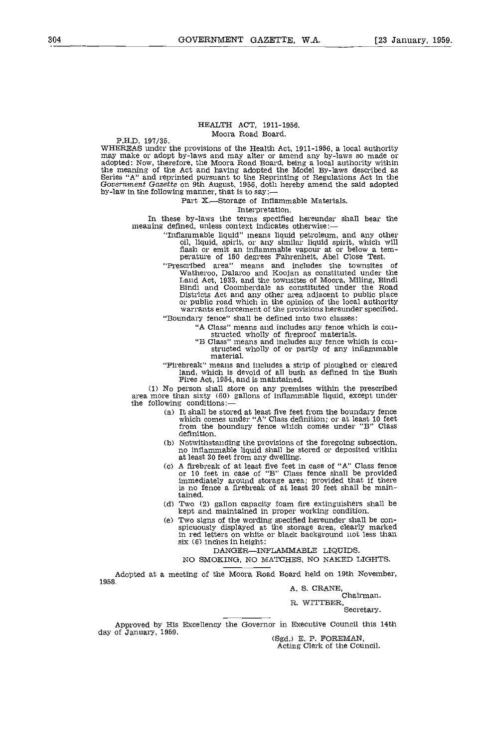#### HEALTH ACT, 1911-1956. Moora Road Board.

P.H.D. 197/35.<br>WHEREAS under the provisions of the Health Act, 1911-1956, a local authority WHEREAS under the provisions of the Health Act, 1911-1956, a local authority<br>may make or adopt by-laws and may alter or amend any by-laws so made or<br>adopted: Now, therefore, the Moora Road Board, being a local authority wi the meaning of the Act and having adopted the Model By-laws described as Series "A" and reprinted pursuant to the Reprinting of Regulations Act in the Government Gazette on 9th August, 1956, doth hereby amend the said adop

Part X.—Storage of Inflammable Materials.<br>Interpretation.

In these by-laws the terms specified hereunder shall bear the meaning defined, unless context indicates otherwise:—

- "Inflammable liquid" means liquid petroleum, and any other<br>oil, liquid, spirit, or any similar liquid spirit, which will<br>flash or emit an inflammable vapour at or below a tem-<br>perature of 150 degrees Fahrenheit, Abel Close
- "Prescribed area" means and includes the townsites of Watheroo, Dalaroo and Koojan as constituted under the Land Act, 1933, and the townsites of Moora, Miling, Bindi<br>Bindi and Coomberdale as constituted under the Road Districts Act and any other area adjacent to public place or public road which in the opinion of the local authority warrants enforcement of the provisions hereunder specified.

"Boundary fence" shall be defined into two classes:

- 
- "A Class" means and includes any fence which is con- structed wholly of fireproof materials. "B Class" means and includes any fence which is con- structed wholly of or partly of any inflammable material.
- "Firebreak" means and includes a strip of ploughed or cleared land, which is devoid of all bush as defined in the Bush Fires Act, 1954, and is maintained. (1) No person shall store on any premises within the prescribed

area more than sixty (60) gallons of inflammable liquid, except under the following conditions:

- (a) It shall be stored at least five feet from the boundary fence which comes under "A" Class definition; or at least 10 feet from the boundary fence which comes under "B" Class definition,
- Notwithstanding the provisions of the foregoing subsection, no inflammable liquid shall be stored or deposited within at least 30 feet from any dwelling.
- A firebreak of at least five feet in case of "A" Class fence or 10 feet in case of "B" Class fence shall be provided immediately around storage area; provided that if there is no fence a firebreak of at least 20 feet shall be maintained.
- Two (2) gallon capacity foam fire extinguishers shall be kept and maintained in proper working condition.
- Two signs of the wording specified hereunder shall be con- spicuously displayed at the storage area, clearly marked in red letters on white or black background not less than six (6) inches in height:

DANGER-INFLAMMABLE LIQUIDS.

NO SMOKING, NO MATCHES, NO NAKED LIGHTS.

Adopted at a meeting of the Moora Road Board held on 19th November,

195 B.

A. S. CRANE,<br>Chairman. R. WITTBER,

Secretary.

Approved by His Excellency the Governor in Executive Council this 14th

(Sgd.) E. P. FOREMAN,<br>Acting Clerk of the Council.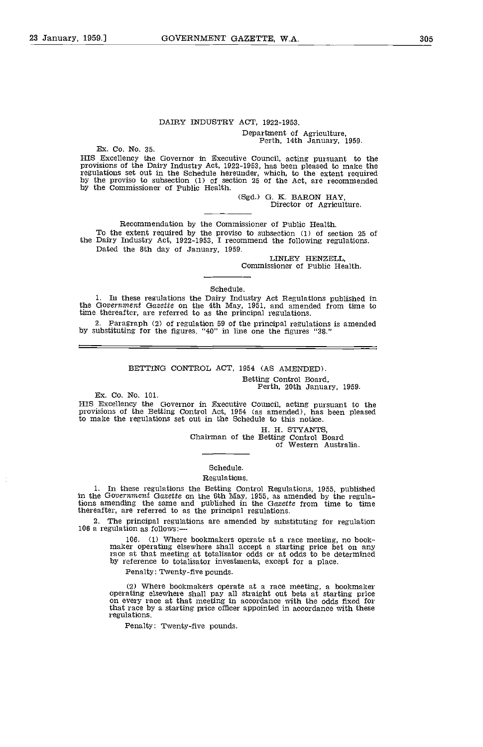## DAIRY INDUSTRY ACT, 1922-1953. Department of Agriculture, Perth, 14th January, 1959.

Ex. Co. No. 35. HIS Excellency the Governor in Executive Council, acting pursuant to the provisions of the Dairy Industry Act, 1922-1953, has been pleased to make the regulations set out in the Schedule hereunder, which, to the extent req by the proviso to subsection (1) of section 25 of the Act, are recommended by the Commissioner of Public Health.

(Sgd.) G. K. BARON HAY,<br>Director of Agriculture.

Recommendation by the Commissioner of Public Health.<br>To the extent required by the proviso to subsection (1) of section 25 of the Dairy Industry Act, 1922-1953, I recommend the following regulations. Dated the 8th day of January, 1959.

LINLEY HENZELL, Commissioner of Public Health.

Schedule.

In these regulations the Dairy Industry Act Regulations published in the Government Gazette on the 4th May, 1951, and amended from time to time thereafter, are referred to as the principal regulations.

Paragraph (2) of regulation 59 of the principal regulations is amended by substituting for the figures, "40" in line one the figures "38."

#### BETTING CONTROL ACT, 1954 (AS AMENDED).

Betting Control Board, Perth, 20th January, 1959.

Ex. Co. No. 101.

HIS Excellency the Governor in Executive Council, acting pursuant to the provisions of the Betting Control Act, 1954 (as amended), has been pleased to make the regulations set out in the Schedule to this notice.

H. H. STYANTS, Chairman of the Betting Control Board of Western Australia.

#### Schedule. Regulations.

In these regulations the Betting Control Regulations, 1955, published in the Government Gazette on the 6th May, 1955, as amended by the regula-tions amending the same and published in the Gazette from time to time thereafter, are referred to as the principal regulations.

The principal regulations are amended by substituting for regulation 106 a regulation as follows:-

> 106. (1) Where bookmakers operate at a race meeting, no book- maker operating elsewhere shall accept a starting price bet on any race at that meeting at totalisator odds or at odds to be determined by reference to totalisator investments, except for a place.

Penalty: Twenty-five pounds.

(2) Where bookmakers operate at a race meeting, a bookmaker operating elsewhere shall pay all straight out bets at starting price on every race at that meeting in accordance with the odds fixed for that race by a starting price officer appointed in accordance with these regulations.

Penalty: Twenty-five pounds.